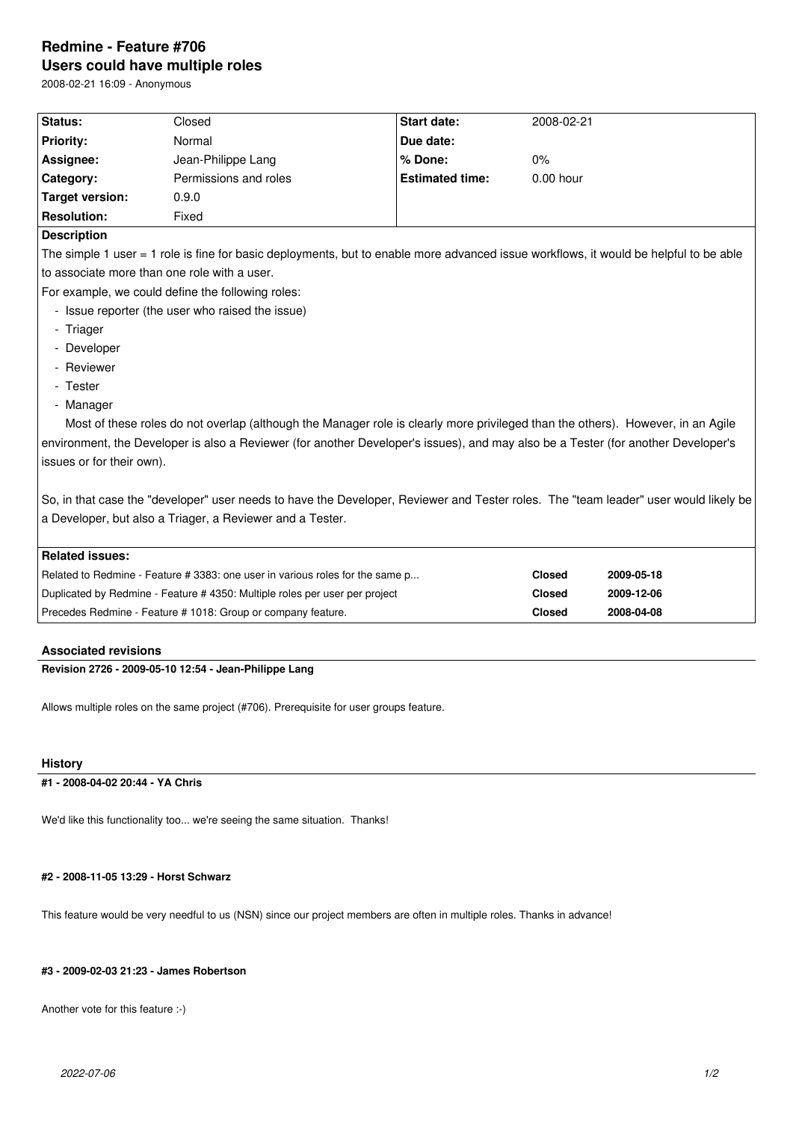# **Redmine - Feature #706 Users could have multiple roles**

2008-02-21 16:09 - Anonymous

| Status:            | Closed                | <b>Start date:</b>     | 2008-02-21  |
|--------------------|-----------------------|------------------------|-------------|
| <b>Priority:</b>   | Normal                | Due date:              |             |
| Assignee:          | Jean-Philippe Lang    | % Done:                | $0\%$       |
| Category:          | Permissions and roles | <b>Estimated time:</b> | $0.00$ hour |
| Target version:    | 0.9.0                 |                        |             |
| <b>Resolution:</b> | Fixed                 |                        |             |

#### **Description**

The simple 1 user = 1 role is fine for basic deployments, but to enable more advanced issue workflows, it would be helpful to be able to associate more than one role with a user.

For example, we could define the following roles:

- Issue reporter (the user who raised the issue)
- Triager
- Developer
- Reviewer
- Tester
- Manager

Most of these roles do not overlap (although the Manager role is clearly more privileged than the others). However, in an Agile environment, the Developer is also a Reviewer (for another Developer's issues), and may also be a Tester (for another Developer's issues or for their own).

So, in that case the "developer" user needs to have the Developer, Reviewer and Tester roles. The "team leader" user would likely be a Developer, but also a Triager, a Reviewer and a Tester.

| Related issues:                                                               |               |            |
|-------------------------------------------------------------------------------|---------------|------------|
| Related to Redmine - Feature # 3383: one user in various roles for the same p | Closed        | 2009-05-18 |
| Duplicated by Redmine - Feature # 4350: Multiple roles per user per project   | <b>Closed</b> | 2009-12-06 |
| Precedes Redmine - Feature # 1018: Group or company feature.                  | <b>Closed</b> | 2008-04-08 |

#### **Associated revisions**

**Revision 2726 - 2009-05-10 12:54 - Jean-Philippe Lang**

Allows multiple roles on the same project (#706). Prerequisite for user groups feature.

## **History**

### **#1 - 2008-04-02 20:44 - YA Chris**

We'd like this functionality too... we're seeing the same situation. Thanks!

#### **#2 - 2008-11-05 13:29 - Horst Schwarz**

This feature would be very needful to us (NSN) since our project members are often in multiple roles. Thanks in advance!

#### **#3 - 2009-02-03 21:23 - James Robertson**

Another vote for this feature :-)